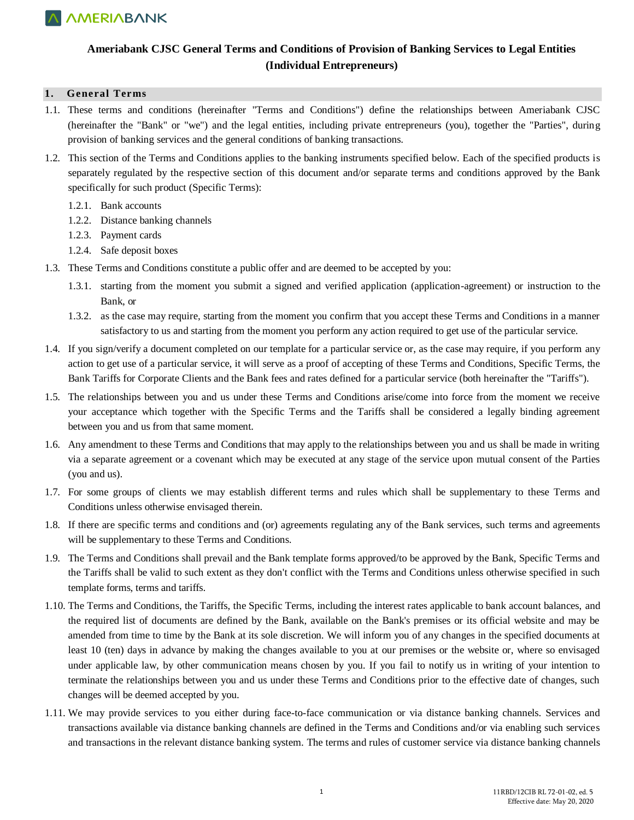

### **Ameriabank CJSC General Terms and Conditions of Provision of Banking Services to Legal Entities (Individual Entrepreneurs)**

#### **1. General Terms**

- 1.1. These terms and conditions (hereinafter "Terms and Conditions") define the relationships between Ameriabank CJSC (hereinafter the "Bank" or "we") and the legal entities, including private entrepreneurs (you), together the "Parties", during provision of banking services and the general conditions of banking transactions.
- 1.2. This section of the Terms and Conditions applies to the banking instruments specified below. Each of the specified products is separately regulated by the respective section of this document and/or separate terms and conditions approved by the Bank specifically for such product (Specific Terms):
	- 1.2.1. Bank accounts
	- 1.2.2. Distance banking channels
	- 1.2.3. Payment cards
	- 1.2.4. Safe deposit boxes
- 1.3. These Terms and Conditions constitute a public offer and are deemed to be accepted by you:
	- 1.3.1. starting from the moment you submit a signed and verified application (application-agreement) or instruction to the Bank, or
	- 1.3.2. as the case may require, starting from the moment you confirm that you accept these Terms and Conditions in a manner satisfactory to us and starting from the moment you perform any action required to get use of the particular service.
- 1.4. If you sign/verify a document completed on our template for a particular service or, as the case may require, if you perform any action to get use of a particular service, it will serve as a proof of accepting of these Terms and Conditions, Specific Terms, the Bank Tariffs for Corporate Clients and the Bank fees and rates defined for a particular service (both hereinafter the "Tariffs").
- 1.5. The relationships between you and us under these Terms and Conditions arise/come into force from the moment we receive your acceptance which together with the Specific Terms and the Tariffs shall be considered a legally binding agreement between you and us from that same moment.
- 1.6. Any amendment to these Terms and Conditions that may apply to the relationships between you and us shall be made in writing via a separate agreement or a covenant which may be executed at any stage of the service upon mutual consent of the Parties (you and us).
- 1.7. For some groups of clients we may establish different terms and rules which shall be supplementary to these Terms and Conditions unless otherwise envisaged therein.
- 1.8. If there are specific terms and conditions and (or) agreements regulating any of the Bank services, such terms and agreements will be supplementary to these Terms and Conditions.
- 1.9. The Terms and Conditions shall prevail and the Bank template forms approved/to be approved by the Bank, Specific Terms and the Tariffs shall be valid to such extent as they don't conflict with the Terms and Conditions unless otherwise specified in such template forms, terms and tariffs.
- 1.10. The Terms and Conditions, the Tariffs, the Specific Terms, including the interest rates applicable to bank account balances, and the required list of documents are defined by the Bank, available on the Bank's premises or its official website and may be amended from time to time by the Bank at its sole discretion. We will inform you of any changes in the specified documents at least 10 (ten) days in advance by making the changes available to you at our premises or the website or, where so envisaged under applicable law, by other communication means chosen by you. If you fail to notify us in writing of your intention to terminate the relationships between you and us under these Terms and Conditions prior to the effective date of changes, such changes will be deemed accepted by you.
- 1.11. We may provide services to you either during face-to-face communication or via distance banking channels. Services and transactions available via distance banking channels are defined in the Terms and Conditions and/or via enabling such services and transactions in the relevant distance banking system. The terms and rules of customer service via distance banking channels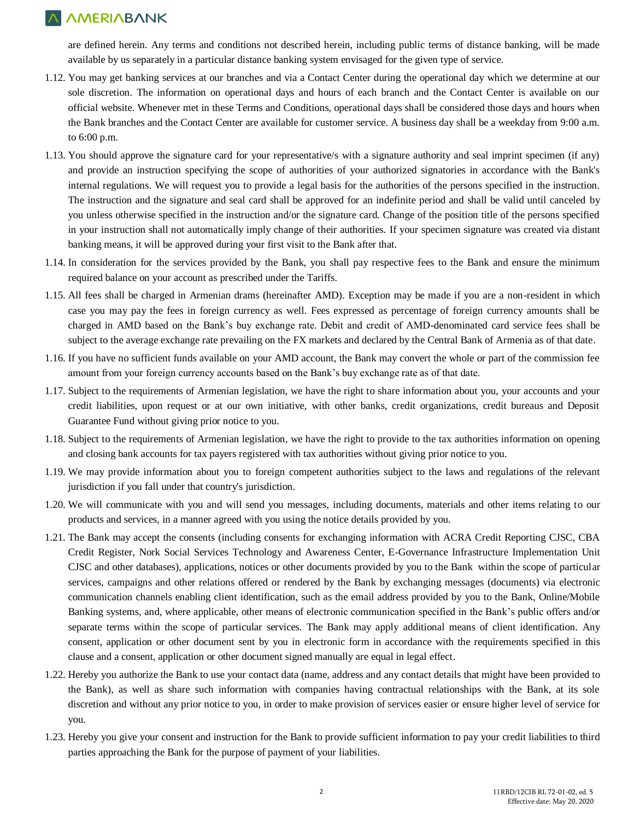are defined herein. Any terms and conditions not described herein, including public terms of distance banking, will be made available by us separately in a particular distance banking system envisaged for the given type of service.

- 1.12. You may get banking services at our branches and via a Contact Center during the operational day which we determine at our sole discretion. The information on operational days and hours of each branch and the Contact Center is available on our official website. Whenever met in these Terms and Conditions, operational days shall be considered those days and hours when the Bank branches and the Contact Center are available for customer service. A business day shall be a weekday from 9:00 a.m. to 6:00 p.m.
- 1.13. You should approve the signature card for your representative/s with a signature authority and seal imprint specimen (if any) and provide an instruction specifying the scope of authorities of your authorized signatories in accordance with the Bank's internal regulations. We will request you to provide a legal basis for the authorities of the persons specified in the instruction. The instruction and the signature and seal card shall be approved for an indefinite period and shall be valid until canceled by you unless otherwise specified in the instruction and/or the signature card. Change of the position title of the persons specified in your instruction shall not automatically imply change of their authorities. If your specimen signature was created via distant banking means, it will be approved during your first visit to the Bank after that.
- 1.14. In consideration for the services provided by the Bank, you shall pay respective fees to the Bank and ensure the minimum required balance on your account as prescribed under the Tariffs.
- 1.15. All fees shall be charged in Armenian drams (hereinafter AMD). Exception may be made if you are a non-resident in which case you may pay the fees in foreign currency as well. Fees expressed as percentage of foreign currency amounts shall be charged in AMD based on the Bank's buy exchange rate. Debit and credit of AMD-denominated card service fees shall be subject to the average exchange rate prevailing on the FX markets and declared by the Central Bank of Armenia as of that date.
- 1.16. If you have no sufficient funds available on your AMD account, the Bank may convert the whole or part of the commission fee amount from your foreign currency accounts based on the Bank's buy exchange rate as of that date.
- 1.17. Subject to the requirements of Armenian legislation, we have the right to share information about you, your accounts and your credit liabilities, upon request or at our own initiative, with other banks, credit organizations, credit bureaus and Deposit Guarantee Fund without giving prior notice to you.
- 1.18. Subject to the requirements of Armenian legislation, we have the right to provide to the tax authorities information on opening and closing bank accounts for tax payers registered with tax authorities without giving prior notice to you.
- 1.19. We may provide information about you to foreign competent authorities subject to the laws and regulations of the relevant jurisdiction if you fall under that country's jurisdiction.
- 1.20. We will communicate with you and will send you messages, including documents, materials and other items relating to our products and services, in a manner agreed with you using the notice details provided by you.
- 1.21. The Bank may accept the consents (including consents for exchanging information with ACRA Credit Reporting CJSC, CBA Credit Register, Nork Social Services Technology and Awareness Center, E-Governance Infrastructure Implementation Unit CJSC and other databases), applications, notices or other documents provided by you to the Bank within the scope of particular services, campaigns and other relations offered or rendered by the Bank by exchanging messages (documents) via electronic communication channels enabling client identification, such as the email address provided by you to the Bank, Online/Mobile Banking systems, and, where applicable, other means of electronic communication specified in the Bank's public offers and/or separate terms within the scope of particular services. The Bank may apply additional means of client identification. Any consent, application or other document sent by you in electronic form in accordance with the requirements specified in this clause and a consent, application or other document signed manually are equal in legal effect.
- 1.22. Hereby you authorize the Bank to use your contact data (name, address and any contact details that might have been provided to the Bank), as well as share such information with companies having contractual relationships with the Bank, at its sole discretion and without any prior notice to you, in order to make provision of services easier or ensure higher level of service for you.
- 1.23. Hereby you give your consent and instruction for the Bank to provide sufficient information to pay your credit liabilities to third parties approaching the Bank for the purpose of payment of your liabilities.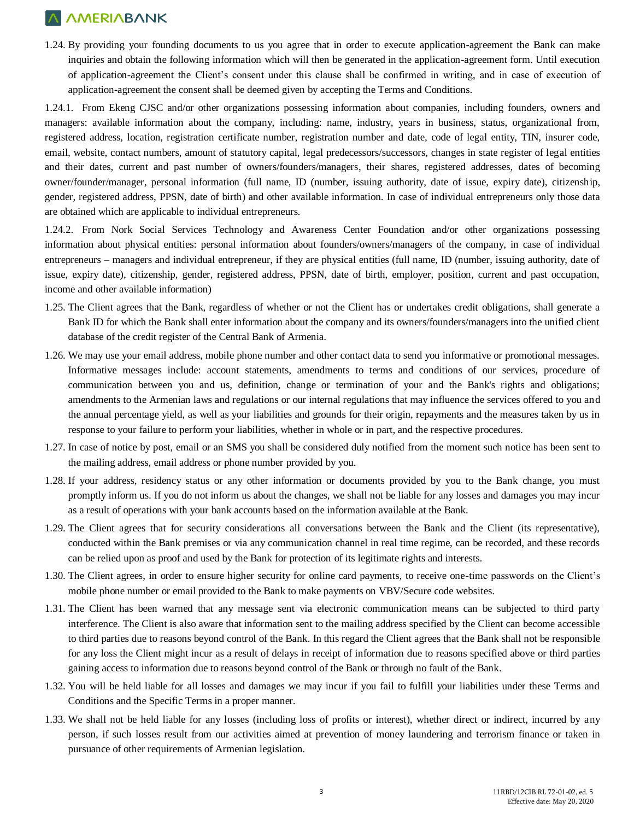1.24. By providing your founding documents to us you agree that in order to execute application-agreement the Bank can make inquiries and obtain the following information which will then be generated in the application-agreement form. Until execution of application-agreement the Client's consent under this clause shall be confirmed in writing, and in case of execution of application-agreement the consent shall be deemed given by accepting the Terms and Conditions.

1.24.1. From Ekeng CJSC and/or other organizations possessing information about companies, including founders, owners and managers: available information about the company, including: name, industry, years in business, status, organizational from, registered address, location, registration certificate number, registration number and date, code of legal entity, TIN, insurer code, email, website, contact numbers, amount of statutory capital, legal predecessors/successors, changes in state register of legal entities and their dates, current and past number of owners/founders/managers, their shares, registered addresses, dates of becoming owner/founder/manager, personal information (full name, ID (number, issuing authority, date of issue, expiry date), citizenship, gender, registered address, PPSN, date of birth) and other available information. In case of individual entrepreneurs only those data are obtained which are applicable to individual entrepreneurs.

1.24.2. From Nork Social Services Technology and Awareness Center Foundation and/or other organizations possessing information about physical entities: personal information about founders/owners/managers of the company, in case of individual entrepreneurs – managers and individual entrepreneur, if they are physical entities (full name, ID (number, issuing authority, date of issue, expiry date), citizenship, gender, registered address, PPSN, date of birth, employer, position, current and past occupation, income and other available information)

- 1.25. The Client agrees that the Bank, regardless of whether or not the Client has or undertakes credit obligations, shall generate a Bank ID for which the Bank shall enter information about the company and its owners/founders/managers into the unified client database of the credit register of the Central Bank of Armenia.
- 1.26. We may use your email address, mobile phone number and other contact data to send you informative or promotional messages. Informative messages include: account statements, amendments to terms and conditions of our services, procedure of communication between you and us, definition, change or termination of your and the Bank's rights and obligations; amendments to the Armenian laws and regulations or our internal regulations that may influence the services offered to you and the annual percentage yield, as well as your liabilities and grounds for their origin, repayments and the measures taken by us in response to your failure to perform your liabilities, whether in whole or in part, and the respective procedures.
- 1.27. In case of notice by post, email or an SMS you shall be considered duly notified from the moment such notice has been sent to the mailing address, email address or phone number provided by you.
- 1.28. If your address, residency status or any other information or documents provided by you to the Bank change, you must promptly inform us. If you do not inform us about the changes, we shall not be liable for any losses and damages you may incur as a result of operations with your bank accounts based on the information available at the Bank.
- 1.29. The Client agrees that for security considerations all conversations between the Bank and the Client (its representative), conducted within the Bank premises or via any communication channel in real time regime, can be recorded, and these records can be relied upon as proof and used by the Bank for protection of its legitimate rights and interests.
- 1.30. The Client agrees, in order to ensure higher security for online card payments, to receive one-time passwords on the Client's mobile phone number or email provided to the Bank to make payments on VBV/Secure code websites.
- 1.31. The Client has been warned that any message sent via electronic communication means can be subjected to third party interference. The Client is also aware that information sent to the mailing address specified by the Client can become accessible to third parties due to reasons beyond control of the Bank. In this regard the Client agrees that the Bank shall not be responsible for any loss the Client might incur as a result of delays in receipt of information due to reasons specified above or third parties gaining access to information due to reasons beyond control of the Bank or through no fault of the Bank.
- 1.32. You will be held liable for all losses and damages we may incur if you fail to fulfill your liabilities under these Terms and Conditions and the Specific Terms in a proper manner.
- 1.33. We shall not be held liable for any losses (including loss of profits or interest), whether direct or indirect, incurred by any person, if such losses result from our activities aimed at prevention of money laundering and terrorism finance or taken in pursuance of other requirements of Armenian legislation.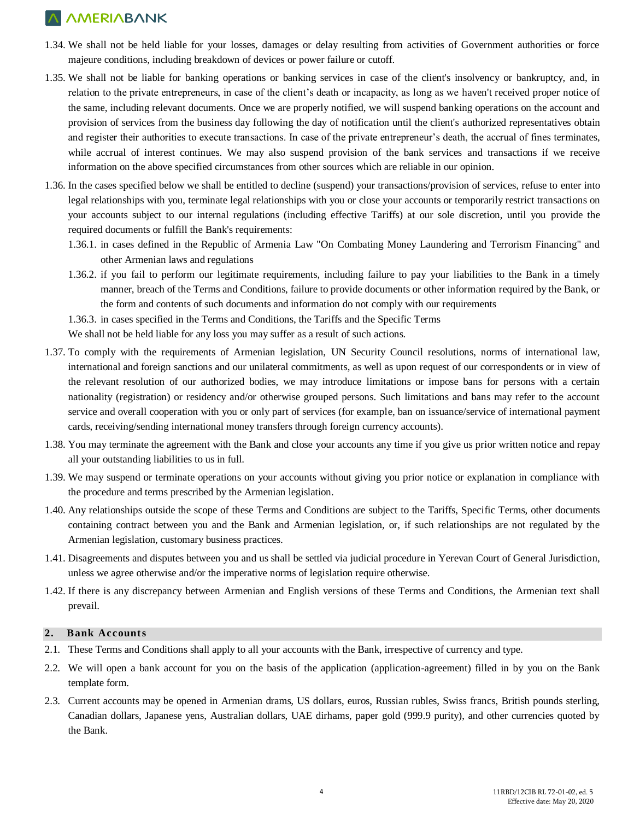- 1.34. We shall not be held liable for your losses, damages or delay resulting from activities of Government authorities or force majeure conditions, including breakdown of devices or power failure or cutoff.
- 1.35. We shall not be liable for banking operations or banking services in case of the client's insolvency or bankruptcy, and, in relation to the private entrepreneurs, in case of the client's death or incapacity, as long as we haven't received proper notice of the same, including relevant documents. Once we are properly notified, we will suspend banking operations on the account and provision of services from the business day following the day of notification until the client's authorized representatives obtain and register their authorities to execute transactions. In case of the private entrepreneur's death, the accrual of fines terminates, while accrual of interest continues. We may also suspend provision of the bank services and transactions if we receive information on the above specified circumstances from other sources which are reliable in our opinion.
- 1.36. In the cases specified below we shall be entitled to decline (suspend) your transactions/provision of services, refuse to enter into legal relationships with you, terminate legal relationships with you or close your accounts or temporarily restrict transactions on your accounts subject to our internal regulations (including effective Tariffs) at our sole discretion, until you provide the required documents or fulfill the Bank's requirements:
	- 1.36.1. in cases defined in the Republic of Armenia Law "On Combating Money Laundering and Terrorism Financing" and other Armenian laws and regulations
	- 1.36.2. if you fail to perform our legitimate requirements, including failure to pay your liabilities to the Bank in a timely manner, breach of the Terms and Conditions, failure to provide documents or other information required by the Bank, or the form and contents of such documents and information do not comply with our requirements

1.36.3. in cases specified in the Terms and Conditions, the Tariffs and the Specific Terms

We shall not be held liable for any loss you may suffer as a result of such actions.

- 1.37. To comply with the requirements of Armenian legislation, UN Security Council resolutions, norms of international law, international and foreign sanctions and our unilateral commitments, as well as upon request of our correspondents or in view of the relevant resolution of our authorized bodies, we may introduce limitations or impose bans for persons with a certain nationality (registration) or residency and/or otherwise grouped persons. Such limitations and bans may refer to the account service and overall cooperation with you or only part of services (for example, ban on issuance/service of international payment cards, receiving/sending international money transfers through foreign currency accounts).
- 1.38. You may terminate the agreement with the Bank and close your accounts any time if you give us prior written notice and repay all your outstanding liabilities to us in full.
- 1.39. We may suspend or terminate operations on your accounts without giving you prior notice or explanation in compliance with the procedure and terms prescribed by the Armenian legislation.
- 1.40. Any relationships outside the scope of these Terms and Conditions are subject to the Tariffs, Specific Terms, other documents containing contract between you and the Bank and Armenian legislation, or, if such relationships are not regulated by the Armenian legislation, customary business practices.
- 1.41. Disagreements and disputes between you and us shall be settled via judicial procedure in Yerevan Court of General Jurisdiction, unless we agree otherwise and/or the imperative norms of legislation require otherwise.
- 1.42. If there is any discrepancy between Armenian and English versions of these Terms and Conditions, the Armenian text shall prevail.

### **2. Bank Accounts**

- 2.1. These Terms and Conditions shall apply to all your accounts with the Bank, irrespective of currency and type.
- 2.2. We will open a bank account for you on the basis of the application (application-agreement) filled in by you on the Bank template form.
- 2.3. Current accounts may be opened in Armenian drams, US dollars, euros, Russian rubles, Swiss francs, British pounds sterling, Canadian dollars, Japanese yens, Australian dollars, UAE dirhams, paper gold (999.9 purity), and other currencies quoted by the Bank.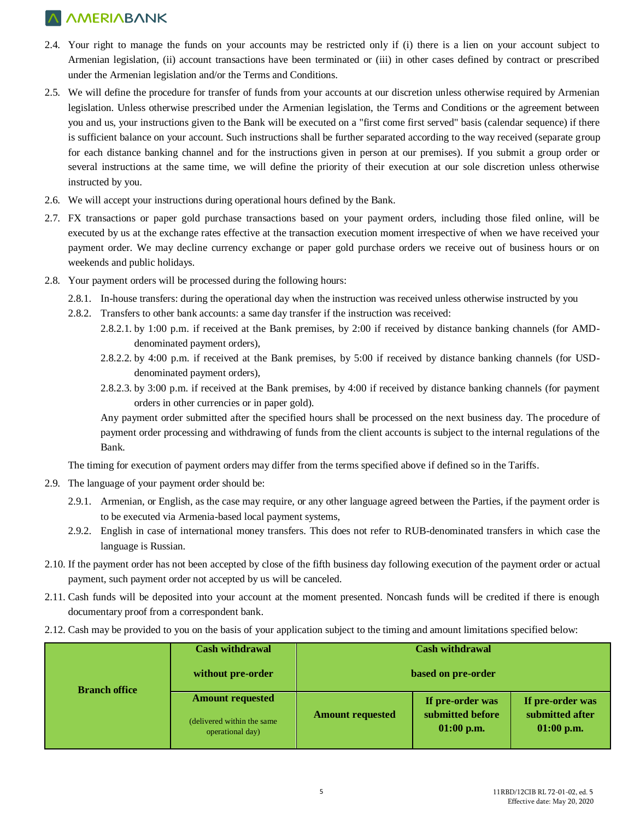- 2.4. Your right to manage the funds on your accounts may be restricted only if (i) there is a lien on your account subject to Armenian legislation, (ii) account transactions have been terminated or (iii) in other cases defined by contract or prescribed under the Armenian legislation and/or the Terms and Conditions.
- 2.5. We will define the procedure for transfer of funds from your accounts at our discretion unless otherwise required by Armenian legislation. Unless otherwise prescribed under the Armenian legislation, the Terms and Conditions or the agreement between you and us, your instructions given to the Bank will be executed on a "first come first served" basis (calendar sequence) if there is sufficient balance on your account. Such instructions shall be further separated according to the way received (separate group for each distance banking channel and for the instructions given in person at our premises). If you submit a group order or several instructions at the same time, we will define the priority of their execution at our sole discretion unless otherwise instructed by you.
- 2.6. We will accept your instructions during operational hours defined by the Bank.
- 2.7. FX transactions or paper gold purchase transactions based on your payment orders, including those filed online, will be executed by us at the exchange rates effective at the transaction execution moment irrespective of when we have received your payment order. We may decline currency exchange or paper gold purchase orders we receive out of business hours or on weekends and public holidays.
- 2.8. Your payment orders will be processed during the following hours:
	- 2.8.1. In-house transfers: during the operational day when the instruction was received unless otherwise instructed by you
	- 2.8.2. Transfers to other bank accounts: a same day transfer if the instruction was received:
		- 2.8.2.1. by 1:00 p.m. if received at the Bank premises, by 2:00 if received by distance banking channels (for AMDdenominated payment orders),
		- 2.8.2.2. by 4:00 p.m. if received at the Bank premises, by 5:00 if received by distance banking channels (for USDdenominated payment orders),
		- 2.8.2.3. by 3:00 p.m. if received at the Bank premises, by 4:00 if received by distance banking channels (for payment orders in other currencies or in paper gold).

Any payment order submitted after the specified hours shall be processed on the next business day. The procedure of payment order processing and withdrawing of funds from the client accounts is subject to the internal regulations of the Bank.

The timing for execution of payment orders may differ from the terms specified above if defined so in the Tariffs.

- 2.9. The language of your payment order should be:
	- 2.9.1. Armenian, or English, as the case may require, or any other language agreed between the Parties, if the payment order is to be executed via Armenia-based local payment systems,
	- 2.9.2. English in case of international money transfers. This does not refer to RUB-denominated transfers in which case the language is Russian.
- 2.10. If the payment order has not been accepted by close of the fifth business day following execution of the payment order or actual payment, such payment order not accepted by us will be canceled.
- 2.11. Cash funds will be deposited into your account at the moment presented. Noncash funds will be credited if there is enough documentary proof from a correspondent bank.
- 2.12. Cash may be provided to you on the basis of your application subject to the timing and amount limitations specified below:

| <b>Branch office</b> | <b>Cash withdrawal</b>                          | <b>Cash withdrawal</b>  |                                  |                                 |  |
|----------------------|-------------------------------------------------|-------------------------|----------------------------------|---------------------------------|--|
|                      | without pre-order                               | based on pre-order      |                                  |                                 |  |
|                      | <b>Amount requested</b>                         | <b>Amount requested</b> | If pre-order was                 | If pre-order was                |  |
|                      | (delivered within the same)<br>operational day) |                         | submitted before<br>$01:00$ p.m. | submitted after<br>$01:00$ p.m. |  |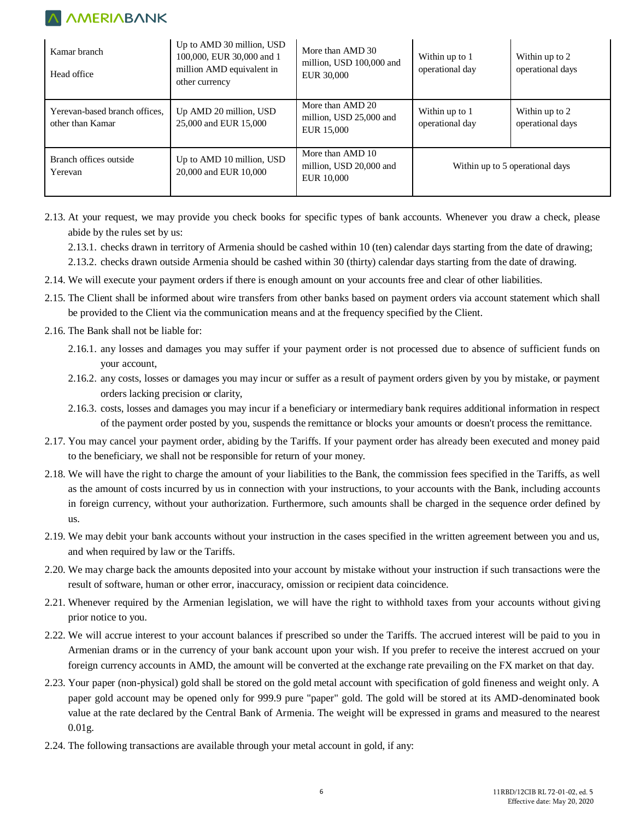| Kamar branch<br>Head office                       | Up to AMD 30 million, USD<br>100,000, EUR 30,000 and 1<br>million AMD equivalent in<br>other currency | More than AMD 30<br>million, USD 100,000 and<br><b>EUR 30,000</b> | Within up to 1<br>operational day | Within up to 2<br>operational days |
|---------------------------------------------------|-------------------------------------------------------------------------------------------------------|-------------------------------------------------------------------|-----------------------------------|------------------------------------|
| Yerevan-based branch offices,<br>other than Kamar | Up AMD 20 million, USD<br>25,000 and EUR 15,000                                                       | More than AMD 20<br>million, USD 25,000 and<br><b>EUR 15,000</b>  | Within up to 1<br>operational day | Within up to 2<br>operational days |
| Branch offices outside<br>Yerevan                 | Up to AMD 10 million, USD<br>20,000 and EUR 10,000                                                    | More than AMD 10<br>million, USD 20,000 and<br><b>EUR 10.000</b>  | Within up to 5 operational days   |                                    |

2.13. At your request, we may provide you check books for specific types of bank accounts. Whenever you draw a check, please abide by the rules set by us:

2.13.1. checks drawn in territory of Armenia should be cashed within 10 (ten) calendar days starting from the date of drawing;

2.13.2. checks drawn outside Armenia should be cashed within 30 (thirty) calendar days starting from the date of drawing.

- 2.14. We will execute your payment orders if there is enough amount on your accounts free and clear of other liabilities.
- 2.15. The Client shall be informed about wire transfers from other banks based on payment orders via account statement which shall be provided to the Client via the communication means and at the frequency specified by the Client.
- 2.16. The Bank shall not be liable for:
	- 2.16.1. any losses and damages you may suffer if your payment order is not processed due to absence of sufficient funds on your account,
	- 2.16.2. any costs, losses or damages you may incur or suffer as a result of payment orders given by you by mistake, or payment orders lacking precision or clarity,
	- 2.16.3. costs, losses and damages you may incur if a beneficiary or intermediary bank requires additional information in respect of the payment order posted by you, suspends the remittance or blocks your amounts or doesn't process the remittance.
- 2.17. You may cancel your payment order, abiding by the Tariffs. If your payment order has already been executed and money paid to the beneficiary, we shall not be responsible for return of your money.
- 2.18. We will have the right to charge the amount of your liabilities to the Bank, the commission fees specified in the Tariffs, as well as the amount of costs incurred by us in connection with your instructions, to your accounts with the Bank, including accounts in foreign currency, without your authorization. Furthermore, such amounts shall be charged in the sequence order defined by us.
- 2.19. We may debit your bank accounts without your instruction in the cases specified in the written agreement between you and us, and when required by law or the Tariffs.
- 2.20. We may charge back the amounts deposited into your account by mistake without your instruction if such transactions were the result of software, human or other error, inaccuracy, omission or recipient data coincidence.
- 2.21. Whenever required by the Armenian legislation, we will have the right to withhold taxes from your accounts without giving prior notice to you.
- 2.22. We will accrue interest to your account balances if prescribed so under the Tariffs. The accrued interest will be paid to you in Armenian drams or in the currency of your bank account upon your wish. If you prefer to receive the interest accrued on your foreign currency accounts in AMD, the amount will be converted at the exchange rate prevailing on the FX market on that day.
- 2.23. Your paper (non-physical) gold shall be stored on the gold metal account with specification of gold fineness and weight only. A paper gold account may be opened only for 999.9 pure "paper" gold. The gold will be stored at its AMD-denominated book value at the rate declared by the Central Bank of Armenia. The weight will be expressed in grams and measured to the nearest 0.01g.
- 2.24. The following transactions are available through your metal account in gold, if any: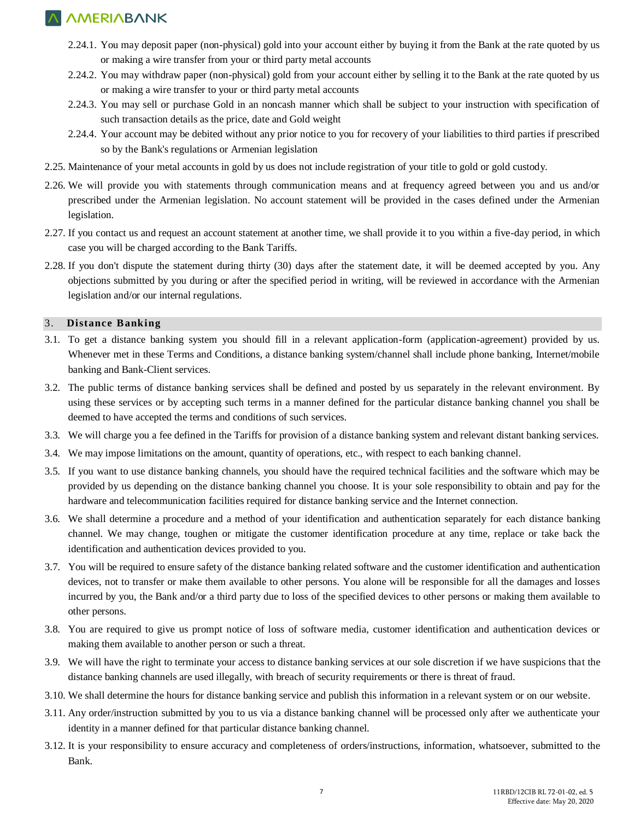- 2.24.1. You may deposit paper (non-physical) gold into your account either by buying it from the Bank at the rate quoted by us or making a wire transfer from your or third party metal accounts
- 2.24.2. You may withdraw paper (non-physical) gold from your account either by selling it to the Bank at the rate quoted by us or making a wire transfer to your or third party metal accounts
- 2.24.3. You may sell or purchase Gold in an noncash manner which shall be subject to your instruction with specification of such transaction details as the price, date and Gold weight
- 2.24.4. Your account may be debited without any prior notice to you for recovery of your liabilities to third parties if prescribed so by the Bank's regulations or Armenian legislation
- 2.25. Maintenance of your metal accounts in gold by us does not include registration of your title to gold or gold custody.
- 2.26. We will provide you with statements through communication means and at frequency agreed between you and us and/or prescribed under the Armenian legislation. No account statement will be provided in the cases defined under the Armenian legislation.
- 2.27. If you contact us and request an account statement at another time, we shall provide it to you within a five-day period, in which case you will be charged according to the Bank Tariffs.
- 2.28. If you don't dispute the statement during thirty (30) days after the statement date, it will be deemed accepted by you. Any objections submitted by you during or after the specified period in writing, will be reviewed in accordance with the Armenian legislation and/or our internal regulations.

### 3. **Distance Banking**

- 3.1. To get a distance banking system you should fill in a relevant application-form (application-agreement) provided by us. Whenever met in these Terms and Conditions, a distance banking system/channel shall include phone banking, Internet/mobile banking and Bank-Client services.
- 3.2. The public terms of distance banking services shall be defined and posted by us separately in the relevant environment. By using these services or by accepting such terms in a manner defined for the particular distance banking channel you shall be deemed to have accepted the terms and conditions of such services.
- 3.3. We will charge you a fee defined in the Tariffs for provision of a distance banking system and relevant distant banking services.
- 3.4. We may impose limitations on the amount, quantity of operations, etc., with respect to each banking channel.
- 3.5. If you want to use distance banking channels, you should have the required technical facilities and the software which may be provided by us depending on the distance banking channel you choose. It is your sole responsibility to obtain and pay for the hardware and telecommunication facilities required for distance banking service and the Internet connection.
- 3.6. We shall determine a procedure and a method of your identification and authentication separately for each distance banking channel. We may change, toughen or mitigate the customer identification procedure at any time, replace or take back the identification and authentication devices provided to you.
- 3.7. You will be required to ensure safety of the distance banking related software and the customer identification and authentication devices, not to transfer or make them available to other persons. You alone will be responsible for all the damages and losses incurred by you, the Bank and/or a third party due to loss of the specified devices to other persons or making them available to other persons.
- 3.8. You are required to give us prompt notice of loss of software media, customer identification and authentication devices or making them available to another person or such a threat.
- 3.9. We will have the right to terminate your access to distance banking services at our sole discretion if we have suspicions that the distance banking channels are used illegally, with breach of security requirements or there is threat of fraud.
- 3.10. We shall determine the hours for distance banking service and publish this information in a relevant system or on our website.
- 3.11. Any order/instruction submitted by you to us via a distance banking channel will be processed only after we authenticate your identity in a manner defined for that particular distance banking channel.
- 3.12. It is your responsibility to ensure accuracy and completeness of orders/instructions, information, whatsoever, submitted to the Bank.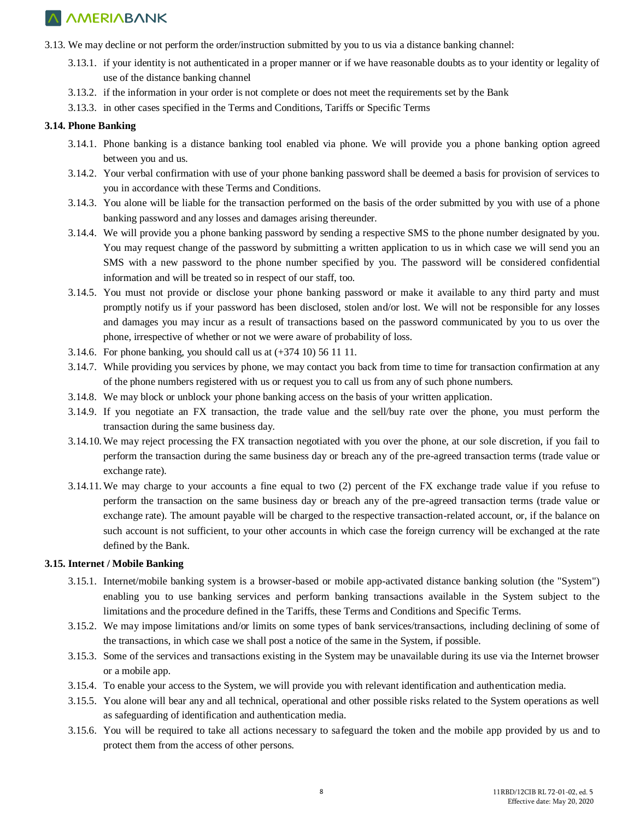- 3.13. We may decline or not perform the order/instruction submitted by you to us via a distance banking channel:
	- 3.13.1. if your identity is not authenticated in a proper manner or if we have reasonable doubts as to your identity or legality of use of the distance banking channel
	- 3.13.2. if the information in your order is not complete or does not meet the requirements set by the Bank
	- 3.13.3. in other cases specified in the Terms and Conditions, Tariffs or Specific Terms

### **3.14. Phone Banking**

- 3.14.1. Phone banking is a distance banking tool enabled via phone. We will provide you a phone banking option agreed between you and us.
- 3.14.2. Your verbal confirmation with use of your phone banking password shall be deemed a basis for provision of services to you in accordance with these Terms and Conditions.
- 3.14.3. You alone will be liable for the transaction performed on the basis of the order submitted by you with use of a phone banking password and any losses and damages arising thereunder.
- 3.14.4. We will provide you a phone banking password by sending a respective SMS to the phone number designated by you. You may request change of the password by submitting a written application to us in which case we will send you an SMS with a new password to the phone number specified by you. The password will be considered confidential information and will be treated so in respect of our staff, too.
- 3.14.5. You must not provide or disclose your phone banking password or make it available to any third party and must promptly notify us if your password has been disclosed, stolen and/or lost. We will not be responsible for any losses and damages you may incur as a result of transactions based on the password communicated by you to us over the phone, irrespective of whether or not we were aware of probability of loss.
- 3.14.6. For phone banking, you should call us at (+374 10) 56 11 11.
- 3.14.7. While providing you services by phone, we may contact you back from time to time for transaction confirmation at any of the phone numbers registered with us or request you to call us from any of such phone numbers.
- 3.14.8. We may block or unblock your phone banking access on the basis of your written application.
- 3.14.9. If you negotiate an FX transaction, the trade value and the sell/buy rate over the phone, you must perform the transaction during the same business day.
- 3.14.10. We may reject processing the FX transaction negotiated with you over the phone, at our sole discretion, if you fail to perform the transaction during the same business day or breach any of the pre-agreed transaction terms (trade value or exchange rate).
- 3.14.11. We may charge to your accounts a fine equal to two (2) percent of the FX exchange trade value if you refuse to perform the transaction on the same business day or breach any of the pre-agreed transaction terms (trade value or exchange rate). The amount payable will be charged to the respective transaction-related account, or, if the balance on such account is not sufficient, to your other accounts in which case the foreign currency will be exchanged at the rate defined by the Bank.

### **3.15. Internet / Mobile Banking**

- 3.15.1. Internet/mobile banking system is a browser-based or mobile app-activated distance banking solution (the "System") enabling you to use banking services and perform banking transactions available in the System subject to the limitations and the procedure defined in the Tariffs, these Terms and Conditions and Specific Terms.
- 3.15.2. We may impose limitations and/or limits on some types of bank services/transactions, including declining of some of the transactions, in which case we shall post a notice of the same in the System, if possible.
- 3.15.3. Some of the services and transactions existing in the System may be unavailable during its use via the Internet browser or a mobile app.
- 3.15.4. To enable your access to the System, we will provide you with relevant identification and authentication media.
- 3.15.5. You alone will bear any and all technical, operational and other possible risks related to the System operations as well as safeguarding of identification and authentication media.
- 3.15.6. You will be required to take all actions necessary to safeguard the token and the mobile app provided by us and to protect them from the access of other persons.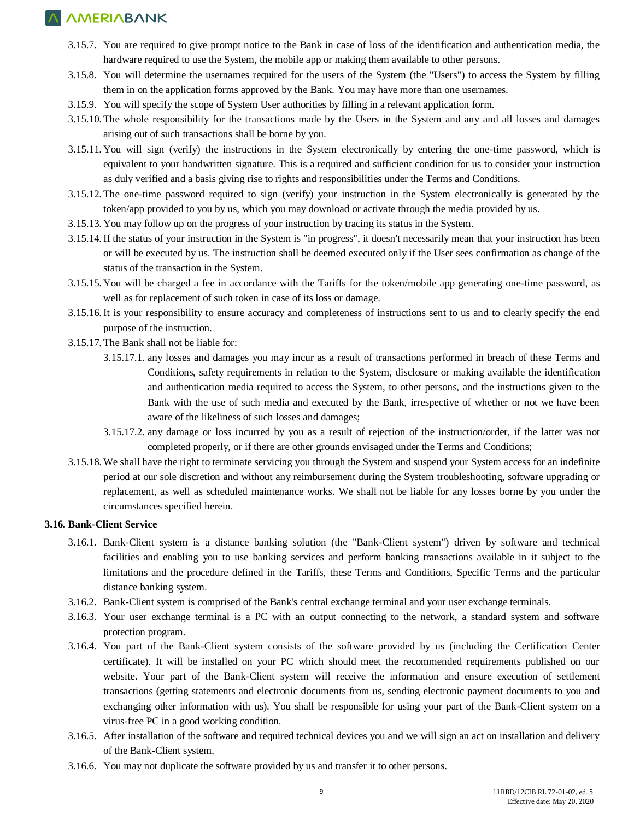- 3.15.7. You are required to give prompt notice to the Bank in case of loss of the identification and authentication media, the hardware required to use the System, the mobile app or making them available to other persons.
- 3.15.8. You will determine the usernames required for the users of the System (the "Users") to access the System by filling them in on the application forms approved by the Bank. You may have more than one usernames.
- 3.15.9. You will specify the scope of System User authorities by filling in a relevant application form.
- 3.15.10. The whole responsibility for the transactions made by the Users in the System and any and all losses and damages arising out of such transactions shall be borne by you.
- 3.15.11. You will sign (verify) the instructions in the System electronically by entering the one-time password, which is equivalent to your handwritten signature. This is a required and sufficient condition for us to consider your instruction as duly verified and a basis giving rise to rights and responsibilities under the Terms and Conditions.
- 3.15.12. The one-time password required to sign (verify) your instruction in the System electronically is generated by the token/app provided to you by us, which you may download or activate through the media provided by us.
- 3.15.13. You may follow up on the progress of your instruction by tracing its status in the System.
- 3.15.14.If the status of your instruction in the System is "in progress", it doesn't necessarily mean that your instruction has been or will be executed by us. The instruction shall be deemed executed only if the User sees confirmation as change of the status of the transaction in the System.
- 3.15.15. You will be charged a fee in accordance with the Tariffs for the token/mobile app generating one-time password, as well as for replacement of such token in case of its loss or damage.
- 3.15.16.It is your responsibility to ensure accuracy and completeness of instructions sent to us and to clearly specify the end purpose of the instruction.
- 3.15.17. The Bank shall not be liable for:
	- 3.15.17.1. any losses and damages you may incur as a result of transactions performed in breach of these Terms and Conditions, safety requirements in relation to the System, disclosure or making available the identification and authentication media required to access the System, to other persons, and the instructions given to the Bank with the use of such media and executed by the Bank, irrespective of whether or not we have been aware of the likeliness of such losses and damages;
	- 3.15.17.2. any damage or loss incurred by you as a result of rejection of the instruction/order, if the latter was not completed properly, or if there are other grounds envisaged under the Terms and Conditions;
- 3.15.18. We shall have the right to terminate servicing you through the System and suspend your System access for an indefinite period at our sole discretion and without any reimbursement during the System troubleshooting, software upgrading or replacement, as well as scheduled maintenance works. We shall not be liable for any losses borne by you under the circumstances specified herein.

### **3.16. Bank-Client Service**

- 3.16.1. Bank-Client system is a distance banking solution (the "Bank-Client system") driven by software and technical facilities and enabling you to use banking services and perform banking transactions available in it subject to the limitations and the procedure defined in the Tariffs, these Terms and Conditions, Specific Terms and the particular distance banking system.
- 3.16.2. Bank-Client system is comprised of the Bank's central exchange terminal and your user exchange terminals.
- 3.16.3. Your user exchange terminal is a PC with an output connecting to the network, a standard system and software protection program.
- 3.16.4. You part of the Bank-Client system consists of the software provided by us (including the Certification Center certificate). It will be installed on your PC which should meet the recommended requirements published on our website. Your part of the Bank-Client system will receive the information and ensure execution of settlement transactions (getting statements and electronic documents from us, sending electronic payment documents to you and exchanging other information with us). You shall be responsible for using your part of the Bank-Client system on a virus-free PC in a good working condition.
- 3.16.5. After installation of the software and required technical devices you and we will sign an act on installation and delivery of the Bank-Client system.
- 3.16.6. You may not duplicate the software provided by us and transfer it to other persons.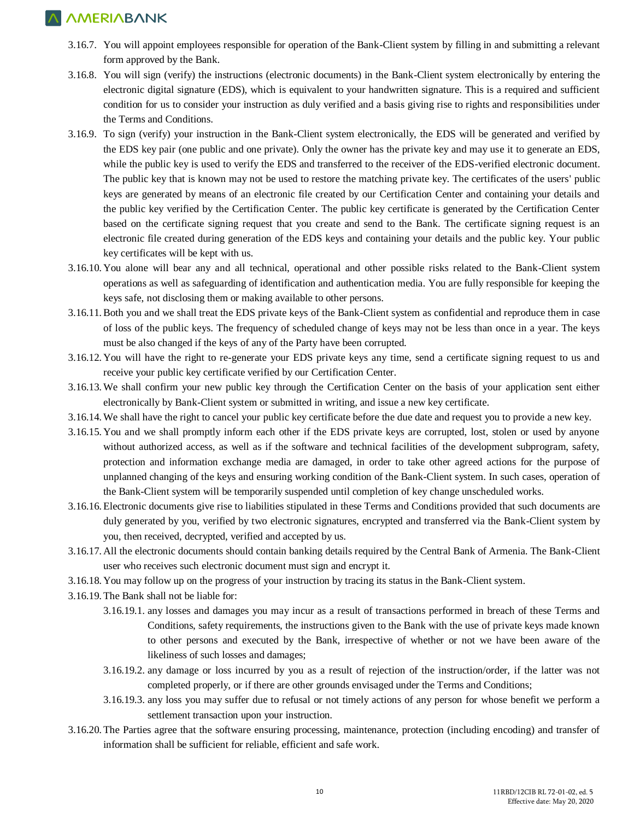- 3.16.7. You will appoint employees responsible for operation of the Bank-Client system by filling in and submitting a relevant form approved by the Bank.
- 3.16.8. You will sign (verify) the instructions (electronic documents) in the Bank-Client system electronically by entering the electronic digital signature (EDS), which is equivalent to your handwritten signature. This is a required and sufficient condition for us to consider your instruction as duly verified and a basis giving rise to rights and responsibilities under the Terms and Conditions.
- 3.16.9. To sign (verify) your instruction in the Bank-Client system electronically, the EDS will be generated and verified by the EDS key pair (one public and one private). Only the owner has the private key and may use it to generate an EDS, while the public key is used to verify the EDS and transferred to the receiver of the EDS-verified electronic document. The public key that is known may not be used to restore the matching private key. The certificates of the users' public keys are generated by means of an electronic file created by our Certification Center and containing your details and the public key verified by the Certification Center. The public key certificate is generated by the Certification Center based on the certificate signing request that you create and send to the Bank. The certificate signing request is an electronic file created during generation of the EDS keys and containing your details and the public key. Your public key certificates will be kept with us.
- 3.16.10. You alone will bear any and all technical, operational and other possible risks related to the Bank-Client system operations as well as safeguarding of identification and authentication media. You are fully responsible for keeping the keys safe, not disclosing them or making available to other persons.
- 3.16.11.Both you and we shall treat the EDS private keys of the Bank-Client system as confidential and reproduce them in case of loss of the public keys. The frequency of scheduled change of keys may not be less than once in a year. The keys must be also changed if the keys of any of the Party have been corrupted.
- 3.16.12. You will have the right to re-generate your EDS private keys any time, send a certificate signing request to us and receive your public key certificate verified by our Certification Center.
- 3.16.13. We shall confirm your new public key through the Certification Center on the basis of your application sent either electronically by Bank-Client system or submitted in writing, and issue a new key certificate.
- 3.16.14. We shall have the right to cancel your public key certificate before the due date and request you to provide a new key.
- 3.16.15. You and we shall promptly inform each other if the EDS private keys are corrupted, lost, stolen or used by anyone without authorized access, as well as if the software and technical facilities of the development subprogram, safety, protection and information exchange media are damaged, in order to take other agreed actions for the purpose of unplanned changing of the keys and ensuring working condition of the Bank-Client system. In such cases, operation of the Bank-Client system will be temporarily suspended until completion of key change unscheduled works.
- 3.16.16. Electronic documents give rise to liabilities stipulated in these Terms and Conditions provided that such documents are duly generated by you, verified by two electronic signatures, encrypted and transferred via the Bank-Client system by you, then received, decrypted, verified and accepted by us.
- 3.16.17. All the electronic documents should contain banking details required by the Central Bank of Armenia. The Bank-Client user who receives such electronic document must sign and encrypt it.
- 3.16.18. You may follow up on the progress of your instruction by tracing its status in the Bank-Client system.
- 3.16.19. The Bank shall not be liable for:
	- 3.16.19.1. any losses and damages you may incur as a result of transactions performed in breach of these Terms and Conditions, safety requirements, the instructions given to the Bank with the use of private keys made known to other persons and executed by the Bank, irrespective of whether or not we have been aware of the likeliness of such losses and damages;
	- 3.16.19.2. any damage or loss incurred by you as a result of rejection of the instruction/order, if the latter was not completed properly, or if there are other grounds envisaged under the Terms and Conditions;
	- 3.16.19.3. any loss you may suffer due to refusal or not timely actions of any person for whose benefit we perform a settlement transaction upon your instruction.
- 3.16.20. The Parties agree that the software ensuring processing, maintenance, protection (including encoding) and transfer of information shall be sufficient for reliable, efficient and safe work.